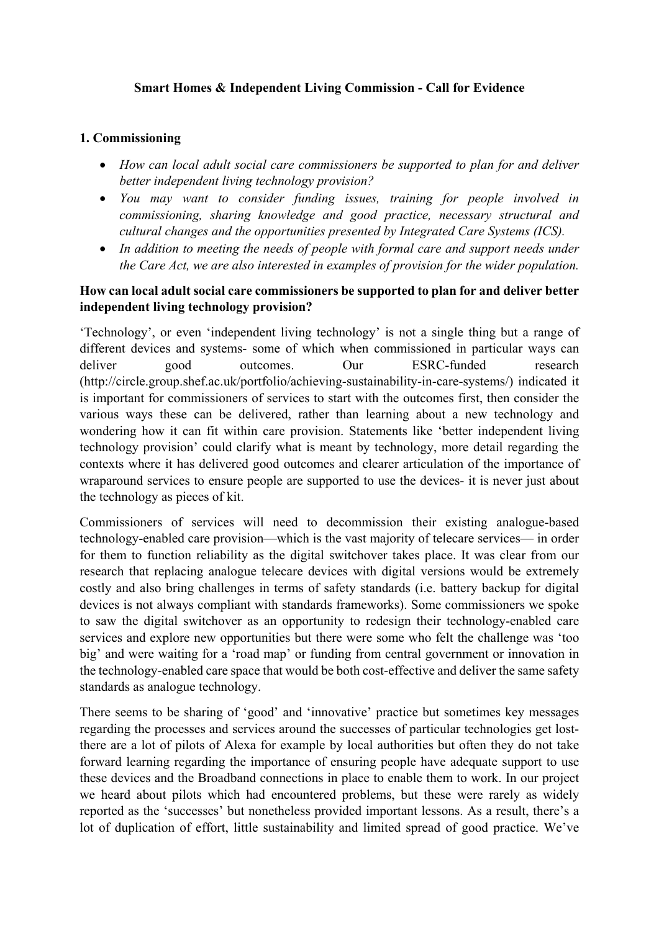## **Smart Homes & Independent Living Commission - Call for Evidence**

#### **1. Commissioning**

- *How can local adult social care commissioners be supported to plan for and deliver better independent living technology provision?*
- *You may want to consider funding issues, training for people involved in commissioning, sharing knowledge and good practice, necessary structural and cultural changes and the opportunities presented by Integrated Care Systems (ICS).*
- *In addition to meeting the needs of people with formal care and support needs under the Care Act, we are also interested in examples of provision for the wider population.*

## **How can local adult social care commissioners be supported to plan for and deliver better independent living technology provision?**

'Technology', or even 'independent living technology' is not a single thing but a range of different devices and systems- some of which when commissioned in particular ways can deliver good outcomes. Our ESRC-funded research (http://circle.group.shef.ac.uk/portfolio/achieving-sustainability-in-care-systems/) indicated it is important for commissioners of services to start with the outcomes first, then consider the various ways these can be delivered, rather than learning about a new technology and wondering how it can fit within care provision. Statements like 'better independent living technology provision' could clarify what is meant by technology, more detail regarding the contexts where it has delivered good outcomes and clearer articulation of the importance of wraparound services to ensure people are supported to use the devices- it is never just about the technology as pieces of kit.

Commissioners of services will need to decommission their existing analogue-based technology-enabled care provision—which is the vast majority of telecare services— in order for them to function reliability as the digital switchover takes place. It was clear from our research that replacing analogue telecare devices with digital versions would be extremely costly and also bring challenges in terms of safety standards (i.e. battery backup for digital devices is not always compliant with standards frameworks). Some commissioners we spoke to saw the digital switchover as an opportunity to redesign their technology-enabled care services and explore new opportunities but there were some who felt the challenge was 'too big' and were waiting for a 'road map' or funding from central government or innovation in the technology-enabled care space that would be both cost-effective and deliver the same safety standards as analogue technology.

There seems to be sharing of 'good' and 'innovative' practice but sometimes key messages regarding the processes and services around the successes of particular technologies get lostthere are a lot of pilots of Alexa for example by local authorities but often they do not take forward learning regarding the importance of ensuring people have adequate support to use these devices and the Broadband connections in place to enable them to work. In our project we heard about pilots which had encountered problems, but these were rarely as widely reported as the 'successes' but nonetheless provided important lessons. As a result, there's a lot of duplication of effort, little sustainability and limited spread of good practice. We've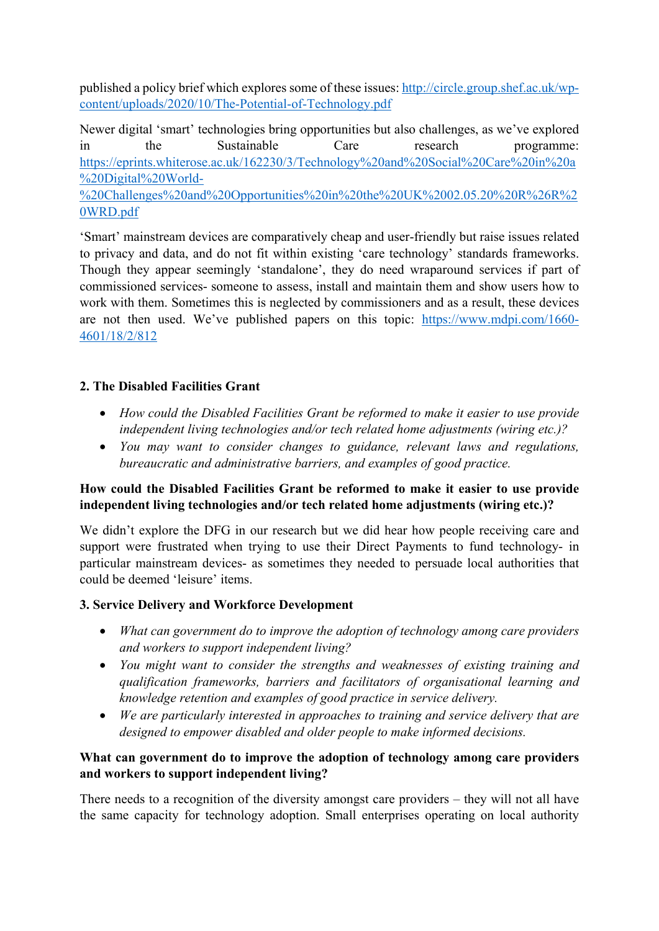published a policy brief which explores some of these issues: [http://circle.group.shef.ac.uk/wp](http://circle.group.shef.ac.uk/wp-content/uploads/2020/10/The-Potential-of-Technology.pdf)[content/uploads/2020/10/The-Potential-of-Technology.pdf](http://circle.group.shef.ac.uk/wp-content/uploads/2020/10/The-Potential-of-Technology.pdf)

Newer digital 'smart' technologies bring opportunities but also challenges, as we've explored in the Sustainable Care research programme: [https://eprints.whiterose.ac.uk/162230/3/Technology%20and%20Social%20Care%20in%20a](https://eprints.whiterose.ac.uk/162230/3/Technology%20and%20Social%20Care%20in%20a%20Digital%20World-%20Challenges%20and%20Opportunities%20in%20the%20UK%2002.05.20%20R%26R%20WRD.pdf) [%20Digital%20World-](https://eprints.whiterose.ac.uk/162230/3/Technology%20and%20Social%20Care%20in%20a%20Digital%20World-%20Challenges%20and%20Opportunities%20in%20the%20UK%2002.05.20%20R%26R%20WRD.pdf) [%20Challenges%20and%20Opportunities%20in%20the%20UK%2002.05.20%20R%26R%2](https://eprints.whiterose.ac.uk/162230/3/Technology%20and%20Social%20Care%20in%20a%20Digital%20World-%20Challenges%20and%20Opportunities%20in%20the%20UK%2002.05.20%20R%26R%20WRD.pdf) [0WRD.pdf](https://eprints.whiterose.ac.uk/162230/3/Technology%20and%20Social%20Care%20in%20a%20Digital%20World-%20Challenges%20and%20Opportunities%20in%20the%20UK%2002.05.20%20R%26R%20WRD.pdf)

'Smart' mainstream devices are comparatively cheap and user-friendly but raise issues related to privacy and data, and do not fit within existing 'care technology' standards frameworks. Though they appear seemingly 'standalone', they do need wraparound services if part of commissioned services- someone to assess, install and maintain them and show users how to work with them. Sometimes this is neglected by commissioners and as a result, these devices are not then used. We've published papers on this topic: [https://www.mdpi.com/1660-](https://www.mdpi.com/1660-4601/18/2/812) [4601/18/2/812](https://www.mdpi.com/1660-4601/18/2/812)

# **2. The Disabled Facilities Grant**

- *How could the Disabled Facilities Grant be reformed to make it easier to use provide independent living technologies and/or tech related home adjustments (wiring etc.)?*
- *You may want to consider changes to guidance, relevant laws and regulations, bureaucratic and administrative barriers, and examples of good practice.*

## **How could the Disabled Facilities Grant be reformed to make it easier to use provide independent living technologies and/or tech related home adjustments (wiring etc.)?**

We didn't explore the DFG in our research but we did hear how people receiving care and support were frustrated when trying to use their Direct Payments to fund technology- in particular mainstream devices- as sometimes they needed to persuade local authorities that could be deemed 'leisure' items.

# **3. Service Delivery and Workforce Development**

- *What can government do to improve the adoption of technology among care providers and workers to support independent living?*
- *You might want to consider the strengths and weaknesses of existing training and qualification frameworks, barriers and facilitators of organisational learning and knowledge retention and examples of good practice in service delivery.*
- *We are particularly interested in approaches to training and service delivery that are designed to empower disabled and older people to make informed decisions.*

# **What can government do to improve the adoption of technology among care providers and workers to support independent living?**

There needs to a recognition of the diversity amongst care providers – they will not all have the same capacity for technology adoption. Small enterprises operating on local authority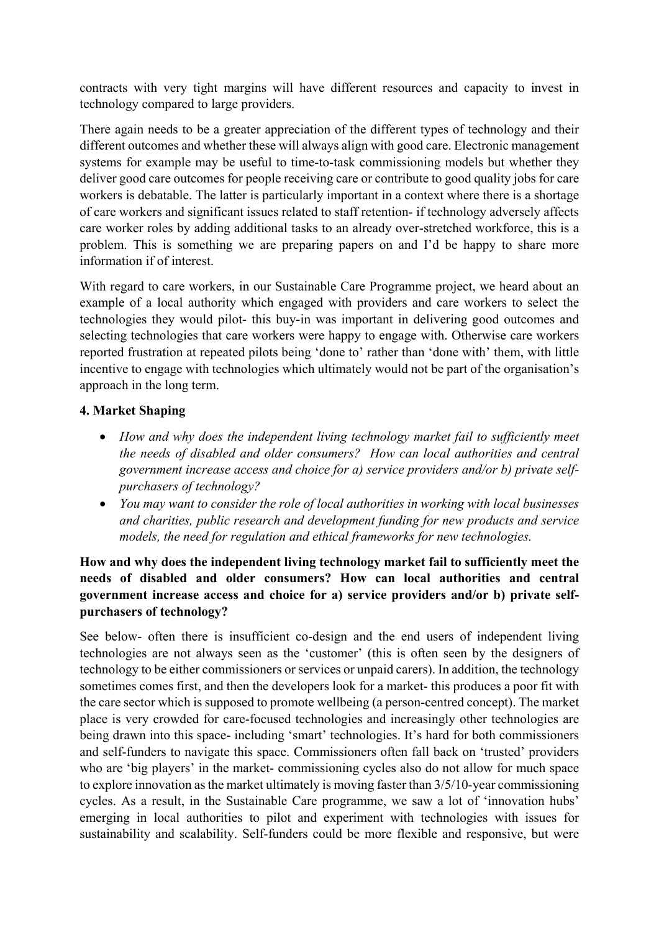contracts with very tight margins will have different resources and capacity to invest in technology compared to large providers.

There again needs to be a greater appreciation of the different types of technology and their different outcomes and whether these will always align with good care. Electronic management systems for example may be useful to time-to-task commissioning models but whether they deliver good care outcomes for people receiving care or contribute to good quality jobs for care workers is debatable. The latter is particularly important in a context where there is a shortage of care workers and significant issues related to staff retention- if technology adversely affects care worker roles by adding additional tasks to an already over-stretched workforce, this is a problem. This is something we are preparing papers on and I'd be happy to share more information if of interest.

With regard to care workers, in our Sustainable Care Programme project, we heard about an example of a local authority which engaged with providers and care workers to select the technologies they would pilot- this buy-in was important in delivering good outcomes and selecting technologies that care workers were happy to engage with. Otherwise care workers reported frustration at repeated pilots being 'done to' rather than 'done with' them, with little incentive to engage with technologies which ultimately would not be part of the organisation's approach in the long term.

## **4. Market Shaping**

- *How and why does the independent living technology market fail to sufficiently meet the needs of disabled and older consumers? How can local authorities and central government increase access and choice for a) service providers and/or b) private selfpurchasers of technology?*
- *You may want to consider the role of local authorities in working with local businesses and charities, public research and development funding for new products and service models, the need for regulation and ethical frameworks for new technologies.*

## **How and why does the independent living technology market fail to sufficiently meet the needs of disabled and older consumers? How can local authorities and central government increase access and choice for a) service providers and/or b) private selfpurchasers of technology?**

See below- often there is insufficient co-design and the end users of independent living technologies are not always seen as the 'customer' (this is often seen by the designers of technology to be either commissioners or services or unpaid carers). In addition, the technology sometimes comes first, and then the developers look for a market- this produces a poor fit with the care sector which is supposed to promote wellbeing (a person-centred concept). The market place is very crowded for care-focused technologies and increasingly other technologies are being drawn into this space- including 'smart' technologies. It's hard for both commissioners and self-funders to navigate this space. Commissioners often fall back on 'trusted' providers who are 'big players' in the market- commissioning cycles also do not allow for much space to explore innovation as the market ultimately is moving faster than 3/5/10-year commissioning cycles. As a result, in the Sustainable Care programme, we saw a lot of 'innovation hubs' emerging in local authorities to pilot and experiment with technologies with issues for sustainability and scalability. Self-funders could be more flexible and responsive, but were